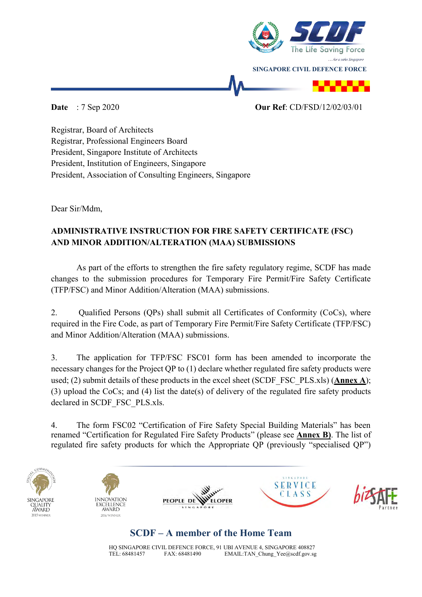

## **Date** : 7 Sep 2020 **Our Ref**: CD/FSD/12/02/03/01

Registrar, Board of Architects Registrar, Professional Engineers Board President, Singapore Institute of Architects President, Institution of Engineers, Singapore President, Association of Consulting Engineers, Singapore

Dear Sir/Mdm,

## **ADMINISTRATIVE INSTRUCTION FOR FIRE SAFETY CERTIFICATE (FSC) AND MINOR ADDITION/ALTERATION (MAA) SUBMISSIONS**

As part of the efforts to strengthen the fire safety regulatory regime, SCDF has made changes to the submission procedures for Temporary Fire Permit/Fire Safety Certificate (TFP/FSC) and Minor Addition/Alteration (MAA) submissions.

2. Qualified Persons (QPs) shall submit all Certificates of Conformity (CoCs), where required in the Fire Code, as part of Temporary Fire Permit/Fire Safety Certificate (TFP/FSC) and Minor Addition/Alteration (MAA) submissions.

3. The application for TFP/FSC FSC01 form has been amended to incorporate the necessary changes for the Project QP to (1) declare whether regulated fire safety products were used; (2) submit details of these products in the excel sheet (SCDF\_FSC\_PLS.xls) (**Annex A**); (3) upload the CoCs; and (4) list the date(s) of delivery of the regulated fire safety products declared in SCDF\_FSC\_PLS.xls.

4. The form FSC02 "Certification of Fire Safety Special Building Materials" has been renamed "Certification for Regulated Fire Safety Products" (please see **Annex B)**. The list of regulated fire safety products for which the Appropriate QP (previously "specialised QP")











# **SCDF – A member of the Home Team**

HQ SINGAPORE CIVIL DEFENCE FORCE, 91 UBI AVENUE 4, SINGAPORE 408827<br>TEL: 68481457 FAX: 68481490 EMAIL:TAN Chung Yee@scdf.gov.sg EMAIL:TAN\_Chung\_Yee@scdf.gov.sg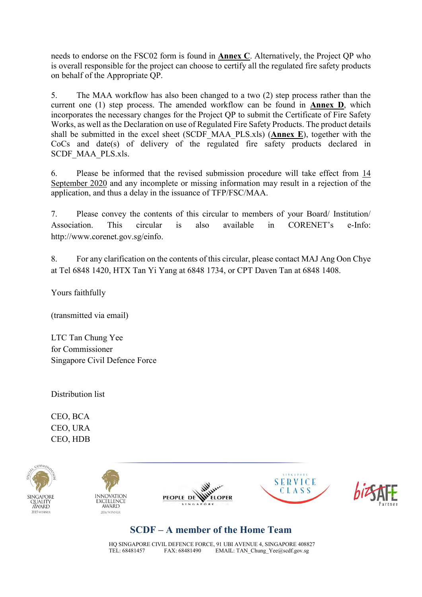needs to endorse on the FSC02 form is found in **Annex C**. Alternatively, the Project QP who is overall responsible for the project can choose to certify all the regulated fire safety products on behalf of the Appropriate QP.

5. The MAA workflow has also been changed to a two (2) step process rather than the current one (1) step process. The amended workflow can be found in **Annex D**, which incorporates the necessary changes for the Project QP to submit the Certificate of Fire Safety Works, as well as the Declaration on use of Regulated Fire Safety Products. The product details shall be submitted in the excel sheet (SCDF\_MAA\_PLS.xls) (**Annex E**), together with the CoCs and date(s) of delivery of the regulated fire safety products declared in SCDF MAA PLS.xls.

6. Please be informed that the revised submission procedure will take effect from 14 September 2020 and any incomplete or missing information may result in a rejection of the application, and thus a delay in the issuance of TFP/FSC/MAA.

7. Please convey the contents of this circular to members of your Board/ Institution/ Association. This circular is also available in CORENET's e-Info: http://www.corenet.gov.sg/einfo.

8. For any clarification on the contents of this circular, please contact MAJ Ang Oon Chye at Tel 6848 1420, HTX Tan Yi Yang at 6848 1734, or CPT Daven Tan at 6848 1408.

Yours faithfully

(transmitted via email)

LTC Tan Chung Yee for Commissioner Singapore Civil Defence Force

Distribution list

CEO, BCA CEO, URA CEO, HDB











# **SCDF – A member of the Home Team**

HQ SINGAPORE CIVIL DEFENCE FORCE, 91 UBI AVENUE 4, SINGAPORE 408827 TEL: 68481457 FAX: 68481490 EMAIL: TAN\_Chung\_Yee@scdf.gov.sg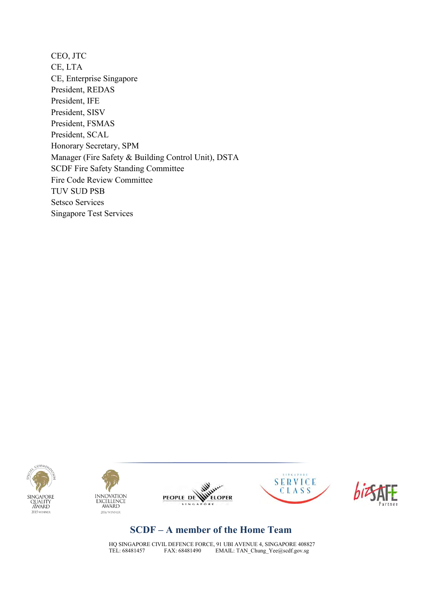CEO, JTC CE, LTA CE, Enterprise Singapore President, REDAS President, IFE President, SISV President, FSMAS President, SCAL Honorary Secretary, SPM Manager (Fire Safety & Building Control Unit), DSTA SCDF Fire Safety Standing Committee Fire Code Review Committee TUV SUD PSB Setsco Services Singapore Test Services











## **SCDF – A member of the Home Team**

HQ SINGAPORE CIVIL DEFENCE FORCE, 91 UBI AVENUE 4, SINGAPORE 408827 TEL: 68481457 FAX: 68481490 EMAIL: TAN\_Chung\_Yee@scdf.gov.sg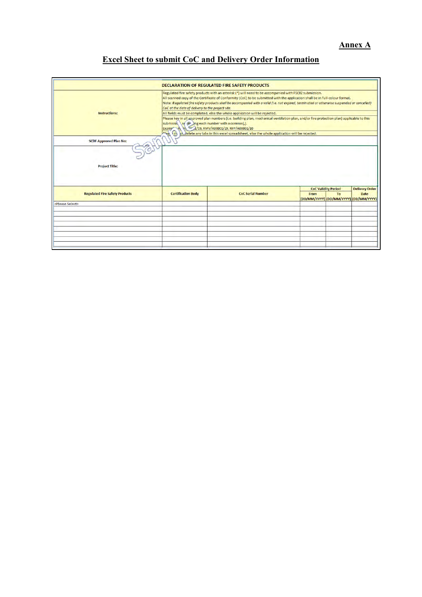#### **Annex A**

## **Excel Sheet to submit CoC and Delivery Order Information**

|                                       | <b>DECLARATION OF REGULATED FIRE SAFETY PRODUCTS</b>                                                                                                                                                                                                                                                                                                                                                                                    |                                                                            |      |                                                                            |                               |  |  |  |
|---------------------------------------|-----------------------------------------------------------------------------------------------------------------------------------------------------------------------------------------------------------------------------------------------------------------------------------------------------------------------------------------------------------------------------------------------------------------------------------------|----------------------------------------------------------------------------|------|----------------------------------------------------------------------------|-------------------------------|--|--|--|
|                                       | Regulated fire safety products with an asterisk (*) will need to be accompanied with FSC02 submission.<br>All scanned copy of the Certificate of Conformity (CoC) to be submitted with the application shall be in full-colour format.<br>Note: Requlated fire safety products shall be accompanied with a valid (i.e. not expired, terminated or otherwise suspended or cancelled)<br>CoC at the date of delivery to the project site. |                                                                            |      |                                                                            |                               |  |  |  |
| Instructions:                         |                                                                                                                                                                                                                                                                                                                                                                                                                                         | All fields must be completed, else the whole application will be rejected. |      |                                                                            |                               |  |  |  |
|                                       | Please key in all approved plan numbers (i.e. building plan, mechanical ventilation plan, and/or fire protection plan) applicable to this<br>submission se and ing each number with a comma (,).<br>R M 1/19, RMV/A00001/19, RFP/A00001/10<br>Examp <sup>*</sup><br>(d) of delete any tabs in this excel spreadsheet, else the whole application will be rejected.                                                                      |                                                                            |      |                                                                            |                               |  |  |  |
| <b>SCDF Approved Plan No:</b>         | Longe +                                                                                                                                                                                                                                                                                                                                                                                                                                 |                                                                            |      |                                                                            |                               |  |  |  |
|                                       |                                                                                                                                                                                                                                                                                                                                                                                                                                         |                                                                            |      |                                                                            |                               |  |  |  |
| <b>Project Title:</b>                 |                                                                                                                                                                                                                                                                                                                                                                                                                                         |                                                                            |      |                                                                            |                               |  |  |  |
|                                       |                                                                                                                                                                                                                                                                                                                                                                                                                                         |                                                                            |      |                                                                            |                               |  |  |  |
| <b>Regulated Fire Safety Products</b> | <b>Certification Body</b>                                                                                                                                                                                                                                                                                                                                                                                                               | <b>CoC Serial Number</b>                                                   | From | <b>CoC Validity Period</b><br>To<br>(DD/MM/YYYY) (DD/MM/YYYY) (DD/MM/YYYY) | <b>Delivery Order</b><br>Date |  |  |  |
|                                       |                                                                                                                                                                                                                                                                                                                                                                                                                                         |                                                                            |      |                                                                            |                               |  |  |  |
|                                       |                                                                                                                                                                                                                                                                                                                                                                                                                                         |                                                                            |      |                                                                            |                               |  |  |  |
| <please select=""></please>           |                                                                                                                                                                                                                                                                                                                                                                                                                                         |                                                                            |      |                                                                            |                               |  |  |  |
|                                       |                                                                                                                                                                                                                                                                                                                                                                                                                                         |                                                                            |      |                                                                            |                               |  |  |  |
|                                       |                                                                                                                                                                                                                                                                                                                                                                                                                                         |                                                                            |      |                                                                            |                               |  |  |  |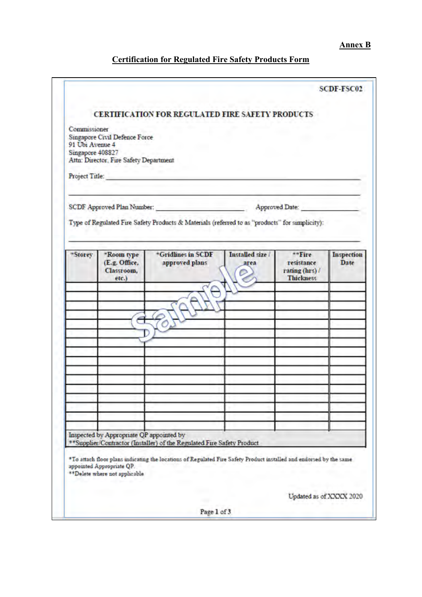#### **Annex B**

## **Certification for Regulated Fire Safety Products Form**

|                  |                                                             |                                                                                                                     |                  |                                    | <b>SCDF-FSC02</b> |
|------------------|-------------------------------------------------------------|---------------------------------------------------------------------------------------------------------------------|------------------|------------------------------------|-------------------|
|                  |                                                             | <b>CERTIFICATION FOR REGULATED FIRE SAFETY PRODUCTS</b>                                                             |                  |                                    |                   |
|                  |                                                             |                                                                                                                     |                  |                                    |                   |
| Commissioner     |                                                             |                                                                                                                     |                  |                                    |                   |
| 91 Ubi Avenue 4  | Singapore Civil Defence Force                               |                                                                                                                     |                  |                                    |                   |
| Singapore 408827 |                                                             |                                                                                                                     |                  |                                    |                   |
|                  | Attn: Director, Fire Safety Department                      |                                                                                                                     |                  |                                    |                   |
|                  |                                                             |                                                                                                                     |                  |                                    |                   |
|                  |                                                             |                                                                                                                     |                  |                                    |                   |
|                  |                                                             |                                                                                                                     |                  |                                    |                   |
|                  |                                                             | Type of Regulated Fire Safety Products & Materials (referred to as "products" for simplicity):                      |                  |                                    |                   |
|                  |                                                             |                                                                                                                     |                  |                                    |                   |
| *Storey          | "Room type                                                  | *Gridlines in SCDF                                                                                                  | Installed size / | **Fire                             | <b>Inspection</b> |
|                  | (E.g. Office,<br>Classroom,                                 | approved plans                                                                                                      | area             | resistance                         | Date              |
|                  | etc.                                                        |                                                                                                                     |                  | rating (hrs) /<br><b>Thickness</b> |                   |
|                  |                                                             |                                                                                                                     |                  |                                    |                   |
|                  |                                                             |                                                                                                                     |                  |                                    |                   |
|                  |                                                             |                                                                                                                     |                  |                                    |                   |
|                  |                                                             |                                                                                                                     |                  |                                    |                   |
|                  |                                                             |                                                                                                                     |                  |                                    |                   |
|                  |                                                             |                                                                                                                     |                  |                                    |                   |
|                  |                                                             |                                                                                                                     |                  |                                    |                   |
|                  |                                                             |                                                                                                                     |                  |                                    |                   |
|                  |                                                             |                                                                                                                     |                  |                                    |                   |
|                  |                                                             |                                                                                                                     |                  |                                    |                   |
|                  |                                                             |                                                                                                                     |                  |                                    |                   |
|                  |                                                             |                                                                                                                     |                  |                                    |                   |
|                  |                                                             |                                                                                                                     |                  |                                    |                   |
|                  |                                                             |                                                                                                                     |                  |                                    |                   |
|                  |                                                             |                                                                                                                     |                  |                                    |                   |
|                  |                                                             |                                                                                                                     |                  |                                    |                   |
|                  |                                                             |                                                                                                                     |                  |                                    |                   |
|                  | Inspected by Appropriate QP appointed by                    |                                                                                                                     |                  |                                    |                   |
|                  |                                                             | ** Supplier/Contractor (Installer) of the Regulated Fire Safety Product                                             |                  |                                    |                   |
|                  |                                                             |                                                                                                                     |                  |                                    |                   |
|                  | appointed Appropriate QP.<br>** Delete where not applicable | *To attach floor plans indicating the locations of Regulated Fire Safety Product installed and endorsed by the same |                  |                                    |                   |
|                  |                                                             |                                                                                                                     |                  |                                    |                   |
|                  |                                                             |                                                                                                                     |                  | Updated as of XXXX 2020            |                   |
|                  |                                                             |                                                                                                                     |                  |                                    |                   |
|                  |                                                             | Page 1 of 3                                                                                                         |                  |                                    |                   |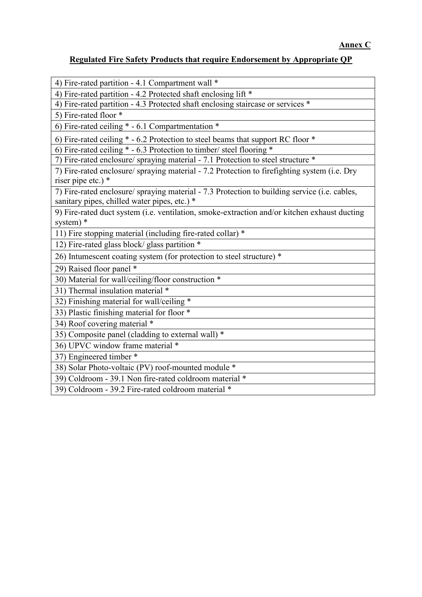#### **Regulated Fire Safety Products that require Endorsement by Appropriate QP**

4) Fire-rated partition - 4.1 Compartment wall \*

4) Fire-rated partition - 4.2 Protected shaft enclosing lift \*

4) Fire-rated partition - 4.3 Protected shaft enclosing staircase or services \*

5) Fire-rated floor \*

6) Fire-rated ceiling \* - 6.1 Compartmentation \*

6) Fire-rated ceiling \* - 6.2 Protection to steel beams that support RC floor \*

6) Fire-rated ceiling \* - 6.3 Protection to timber/ steel flooring \*

7) Fire-rated enclosure/ spraying material - 7.1 Protection to steel structure \*

7) Fire-rated enclosure/ spraying material - 7.2 Protection to firefighting system (i.e. Dry riser pipe etc.) \*

7) Fire-rated enclosure/ spraying material - 7.3 Protection to building service (i.e. cables, sanitary pipes, chilled water pipes, etc.) \*

9) Fire-rated duct system (i.e. ventilation, smoke-extraction and/or kitchen exhaust ducting system) \*

11) Fire stopping material (including fire-rated collar) \*

12) Fire-rated glass block/ glass partition \*

26) Intumescent coating system (for protection to steel structure) \*

29) Raised floor panel \*

30) Material for wall/ceiling/floor construction \*

31) Thermal insulation material \*

32) Finishing material for wall/ceiling \*

33) Plastic finishing material for floor \*

34) Roof covering material \*

35) Composite panel (cladding to external wall) \*

36) UPVC window frame material \*

37) Engineered timber \*

38) Solar Photo-voltaic (PV) roof-mounted module \*

39) Coldroom - 39.1 Non fire-rated coldroom material \*

39) Coldroom - 39.2 Fire-rated coldroom material \*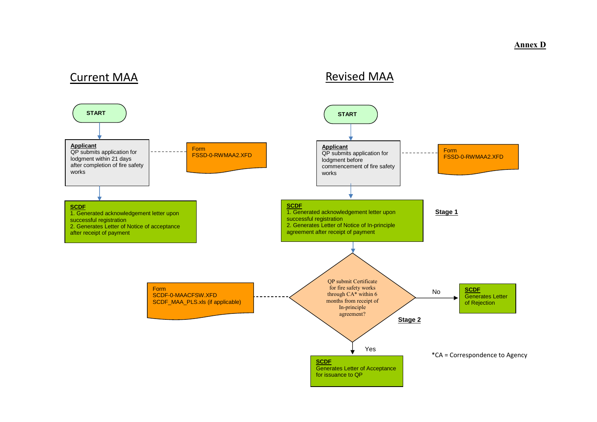#### **Applicant** QP submits application for lodgment before commencement of fire safety works Form FSSD-0-RWMAA2.XFD **START SCDF** Generates Letter of Rejection QP submit Certificate for fire safety works through CA\* within 6 months from receipt of In-principle agreement? No Yes **SCDF** Generates Letter of Acceptance for issuance to QP **Stage 1 Stage 2 Applicant** QP submits application for lodgment within 21 days after completion of fire safety works Form FSSD-0-RWMAA2.XFD **START SCDF** 1. Generated acknowledgement letter upon successful registration 2. Generates Letter of Notice of acceptance after receipt of payment \*CA = Correspondence to Agency **SCDF** 1. Generated acknowledgement letter upon successful registration 2. Generates Letter of Notice of In-principle agreement after receipt of payment Form SCDF-0-MAACFSW.XFD SCDF\_MAA\_PLS.xls (if applicable)

# Current MAA **Revised MAA**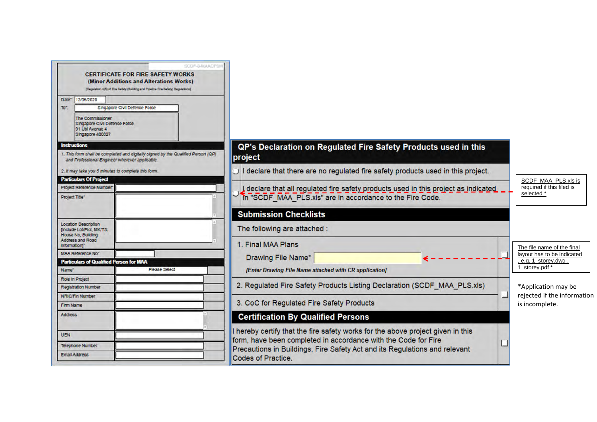|                |                                                                                                                         | <b>CERTIFICATE FOR FIRE SAFETY WORKS</b><br>(Minor Additions and Alterations Works)<br>(Regulation 4(3) of Fire Safety (Building and Pipeline Fire Safety) Regulational                    |               |  | SCOF-6-MAACPIM |  |
|----------------|-------------------------------------------------------------------------------------------------------------------------|--------------------------------------------------------------------------------------------------------------------------------------------------------------------------------------------|---------------|--|----------------|--|
|                | Date": 12/06/2020                                                                                                       |                                                                                                                                                                                            |               |  |                |  |
| To*:           |                                                                                                                         | Singapore Civil Defence Force                                                                                                                                                              |               |  |                |  |
|                |                                                                                                                         | <b>The Commissioner</b><br>Singapore Civil Defence Force<br>91 Ubl Avenue 4<br>Singapore 408827                                                                                            |               |  |                |  |
|                | <b>Instructions</b>                                                                                                     |                                                                                                                                                                                            |               |  |                |  |
|                | <b>Particulars Of Project</b>                                                                                           | 1. This form shall be completed and digitally signed by the Qualified Person (QP)<br>and Professional Engineer wherever applicable.<br>2. It may take you 5 minutes to complete this form. |               |  |                |  |
|                | Project Reference Number*                                                                                               |                                                                                                                                                                                            |               |  |                |  |
|                | Project Title*                                                                                                          |                                                                                                                                                                                            |               |  |                |  |
|                | Location Description<br>[Include Lot/Plot, MK/TS,<br>House No, Building<br>Address and Road<br>Information <sup>1</sup> |                                                                                                                                                                                            |               |  | ä<br>×         |  |
|                | <b>MAA Reference No*</b>                                                                                                |                                                                                                                                                                                            |               |  |                |  |
|                |                                                                                                                         | <b>Particulars of Qualified Person for MAA</b>                                                                                                                                             |               |  |                |  |
| Name"          |                                                                                                                         |                                                                                                                                                                                            | Please Select |  |                |  |
|                | Role In Project                                                                                                         |                                                                                                                                                                                            |               |  |                |  |
|                | <b>Registration Number</b>                                                                                              |                                                                                                                                                                                            |               |  |                |  |
|                | <b>NRIC/Fin Number</b>                                                                                                  |                                                                                                                                                                                            |               |  |                |  |
| Firm Name      |                                                                                                                         |                                                                                                                                                                                            |               |  |                |  |
| <b>Address</b> |                                                                                                                         |                                                                                                                                                                                            |               |  |                |  |
| <b>UEN</b>     |                                                                                                                         |                                                                                                                                                                                            |               |  |                |  |
|                |                                                                                                                         |                                                                                                                                                                                            |               |  |                |  |
|                | <b>Telephone Number</b>                                                                                                 |                                                                                                                                                                                            |               |  |                |  |

#### QP's Declaration on Regulated Fire Safety Products used in this project

 $\bigcirc$  I declare that there are no regulated fire safety products used in this project.

L declare that all regulated fire safety products used in this project as indicated In "SCDF MAA PLS.xls" are in accordance to the Fire Code.

#### **Submission Checklists**

The following are attached :

#### 1. Final MAA Plans

Drawing File Name\*

[Enter Drawing File Name attached with CR application]

- 2. Regulated Fire Safety Products Listing Declaration (SCDF\_MAA\_PLS.xls)
- 3. CoC for Regulated Fire Safety Products

### **Certification By Qualified Persons**

I hereby certify that the fire safety works for the above project given in this form, have been completed in accordance with the Code for Fire Precautions in Buildings, Fire Safety Act and its Regulations and relevant Codes of Practice.

SCDF\_MAA\_PLS.xls is required if this filed is selected \*

The file name of the final layout has to be indicated . e.g. 1\_storey.dwg . 1\_storey.pdf \*

\*Application may be rejected if the information is incomplete.

 $\Box$